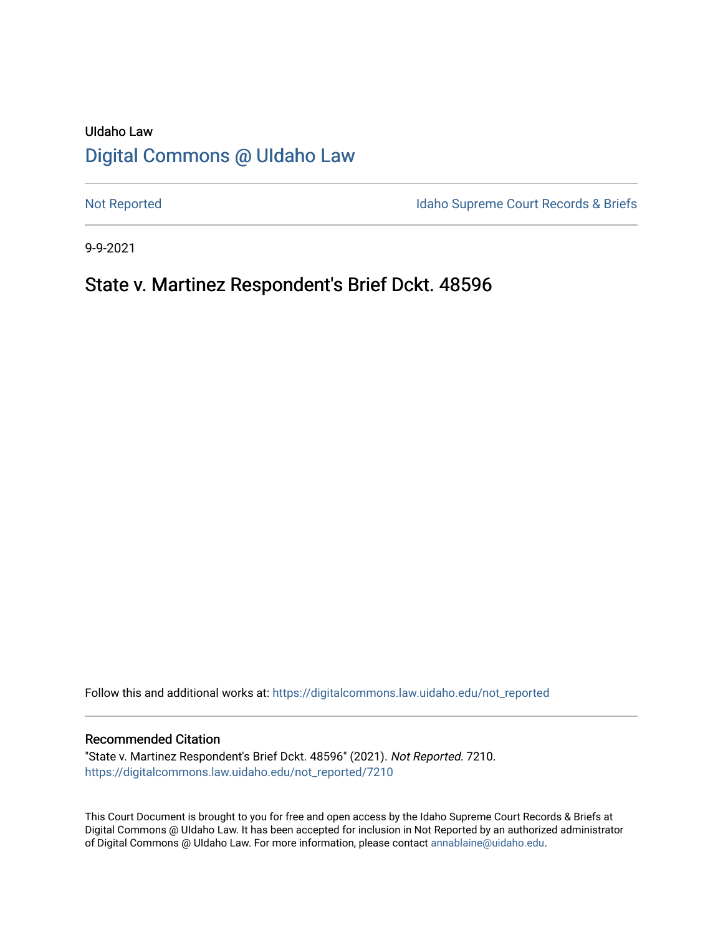# UIdaho Law [Digital Commons @ UIdaho Law](https://digitalcommons.law.uidaho.edu/)

[Not Reported](https://digitalcommons.law.uidaho.edu/not_reported) **Idaho Supreme Court Records & Briefs** 

9-9-2021

# State v. Martinez Respondent's Brief Dckt. 48596

Follow this and additional works at: [https://digitalcommons.law.uidaho.edu/not\\_reported](https://digitalcommons.law.uidaho.edu/not_reported?utm_source=digitalcommons.law.uidaho.edu%2Fnot_reported%2F7210&utm_medium=PDF&utm_campaign=PDFCoverPages) 

#### Recommended Citation

"State v. Martinez Respondent's Brief Dckt. 48596" (2021). Not Reported. 7210. [https://digitalcommons.law.uidaho.edu/not\\_reported/7210](https://digitalcommons.law.uidaho.edu/not_reported/7210?utm_source=digitalcommons.law.uidaho.edu%2Fnot_reported%2F7210&utm_medium=PDF&utm_campaign=PDFCoverPages)

This Court Document is brought to you for free and open access by the Idaho Supreme Court Records & Briefs at Digital Commons @ UIdaho Law. It has been accepted for inclusion in Not Reported by an authorized administrator of Digital Commons @ UIdaho Law. For more information, please contact [annablaine@uidaho.edu](mailto:annablaine@uidaho.edu).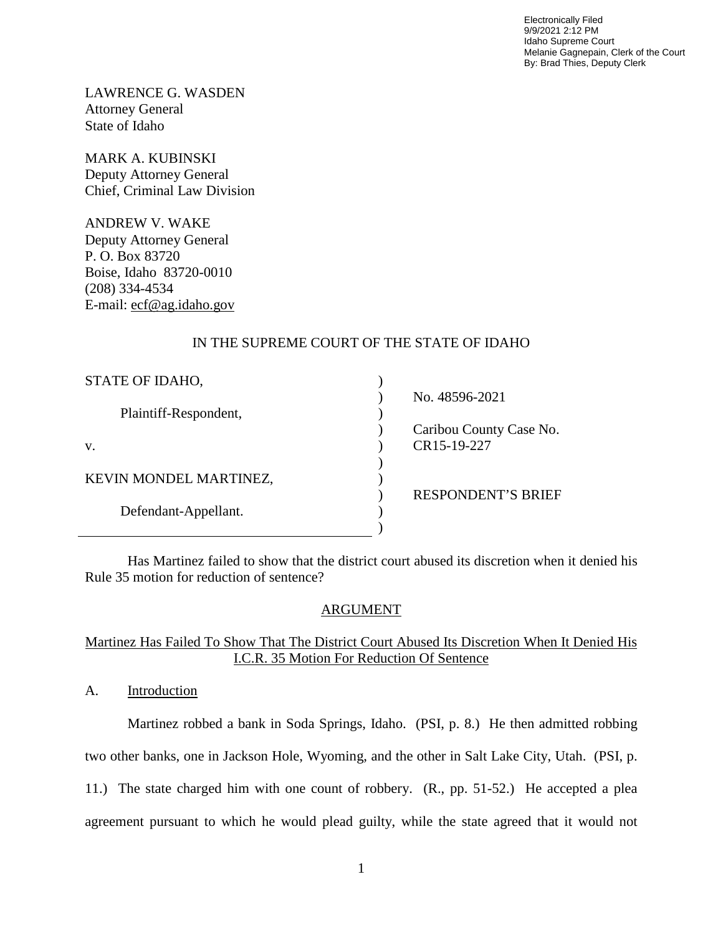Electronically Filed 9/9/2021 2:12 PM Idaho Supreme Court Melanie Gagnepain, Clerk of the Court By: Brad Thies, Deputy Clerk

LAWRENCE G. WASDEN Attorney General State of Idaho

MARK A. KUBINSKI Deputy Attorney General Chief, Criminal Law Division

ANDREW V. WAKE Deputy Attorney General P. O. Box 83720 Boise, Idaho 83720-0010 (208) 334-4534 E-mail: ecf@ag.idaho.gov

## IN THE SUPREME COURT OF THE STATE OF IDAHO

| STATE OF IDAHO,        |                           |
|------------------------|---------------------------|
|                        | No. 48596-2021            |
| Plaintiff-Respondent,  |                           |
|                        | Caribou County Case No.   |
| V.                     | CR15-19-227               |
|                        |                           |
| KEVIN MONDEL MARTINEZ, |                           |
|                        | <b>RESPONDENT'S BRIEF</b> |
| Defendant-Appellant.   |                           |
|                        |                           |

Has Martinez failed to show that the district court abused its discretion when it denied his Rule 35 motion for reduction of sentence?

# ARGUMENT

## Martinez Has Failed To Show That The District Court Abused Its Discretion When It Denied His I.C.R. 35 Motion For Reduction Of Sentence

A. Introduction

Martinez robbed a bank in Soda Springs, Idaho. (PSI, p. 8.) He then admitted robbing two other banks, one in Jackson Hole, Wyoming, and the other in Salt Lake City, Utah. (PSI, p. 11.) The state charged him with one count of robbery. (R., pp. 51-52.) He accepted a plea agreement pursuant to which he would plead guilty, while the state agreed that it would not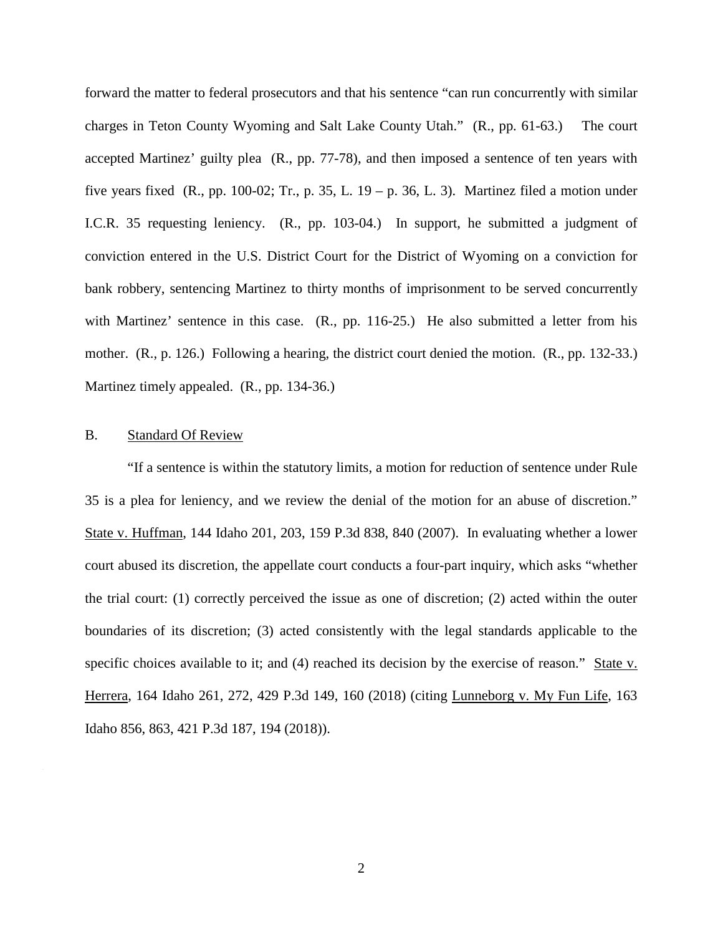forward the matter to federal prosecutors and that his sentence "can run concurrently with similar charges in Teton County Wyoming and Salt Lake County Utah." (R., pp. 61-63.) The court accepted Martinez' guilty plea (R., pp. 77-78), and then imposed a sentence of ten years with five years fixed  $(R., pp. 100-02; Tr., p. 35, L. 19 - p. 36, L. 3)$ . Martinez filed a motion under I.C.R. 35 requesting leniency. (R., pp. 103-04.) In support, he submitted a judgment of conviction entered in the U.S. District Court for the District of Wyoming on a conviction for bank robbery, sentencing Martinez to thirty months of imprisonment to be served concurrently with Martinez' sentence in this case. (R., pp. 116-25.) He also submitted a letter from his mother. (R., p. 126.) Following a hearing, the district court denied the motion. (R., pp. 132-33.) Martinez timely appealed. (R., pp. 134-36.)

#### B. Standard Of Review

 "If a sentence is within the statutory limits, a motion for reduction of sentence under Rule 35 is a plea for leniency, and we review the denial of the motion for an abuse of discretion." State v. Huffman, 144 Idaho 201, 203, 159 P.3d 838, 840 (2007). In evaluating whether a lower court abused its discretion, the appellate court conducts a four-part inquiry, which asks "whether the trial court: (1) correctly perceived the issue as one of discretion; (2) acted within the outer boundaries of its discretion; (3) acted consistently with the legal standards applicable to the specific choices available to it; and (4) reached its decision by the exercise of reason." State v. Herrera, 164 Idaho 261, 272, 429 P.3d 149, 160 (2018) (citing Lunneborg v. My Fun Life, 163 Idaho 856, 863, 421 P.3d 187, 194 (2018)).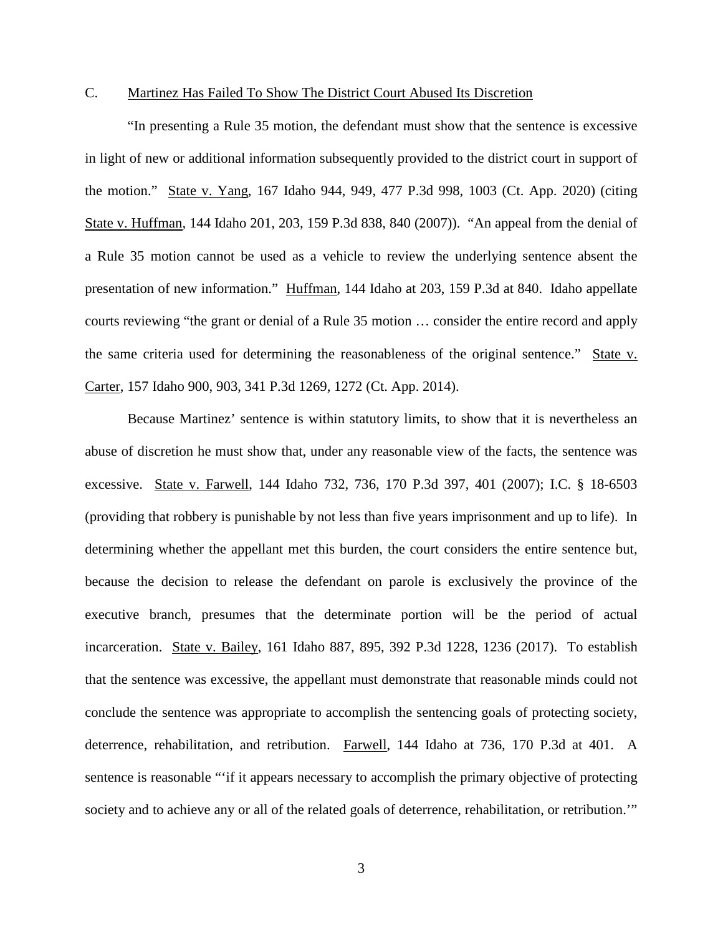#### C. Martinez Has Failed To Show The District Court Abused Its Discretion

"In presenting a Rule 35 motion, the defendant must show that the sentence is excessive in light of new or additional information subsequently provided to the district court in support of the motion." State v. Yang, 167 Idaho 944, 949, 477 P.3d 998, 1003 (Ct. App. 2020) (citing State v. Huffman, 144 Idaho 201, 203, 159 P.3d 838, 840 (2007)). "An appeal from the denial of a Rule 35 motion cannot be used as a vehicle to review the underlying sentence absent the presentation of new information." Huffman, 144 Idaho at 203, 159 P.3d at 840. Idaho appellate courts reviewing "the grant or denial of a Rule 35 motion … consider the entire record and apply the same criteria used for determining the reasonableness of the original sentence." State v. Carter, 157 Idaho 900, 903, 341 P.3d 1269, 1272 (Ct. App. 2014).

Because Martinez' sentence is within statutory limits, to show that it is nevertheless an abuse of discretion he must show that, under any reasonable view of the facts, the sentence was excessive. State v. Farwell, 144 Idaho 732, 736, 170 P.3d 397, 401 (2007); I.C. § 18-6503 (providing that robbery is punishable by not less than five years imprisonment and up to life). In determining whether the appellant met this burden, the court considers the entire sentence but, because the decision to release the defendant on parole is exclusively the province of the executive branch, presumes that the determinate portion will be the period of actual incarceration. State v. Bailey, 161 Idaho 887, 895, 392 P.3d 1228, 1236 (2017). To establish that the sentence was excessive, the appellant must demonstrate that reasonable minds could not conclude the sentence was appropriate to accomplish the sentencing goals of protecting society, deterrence, rehabilitation, and retribution. Farwell, 144 Idaho at 736, 170 P.3d at 401. A sentence is reasonable "'if it appears necessary to accomplish the primary objective of protecting society and to achieve any or all of the related goals of deterrence, rehabilitation, or retribution.'"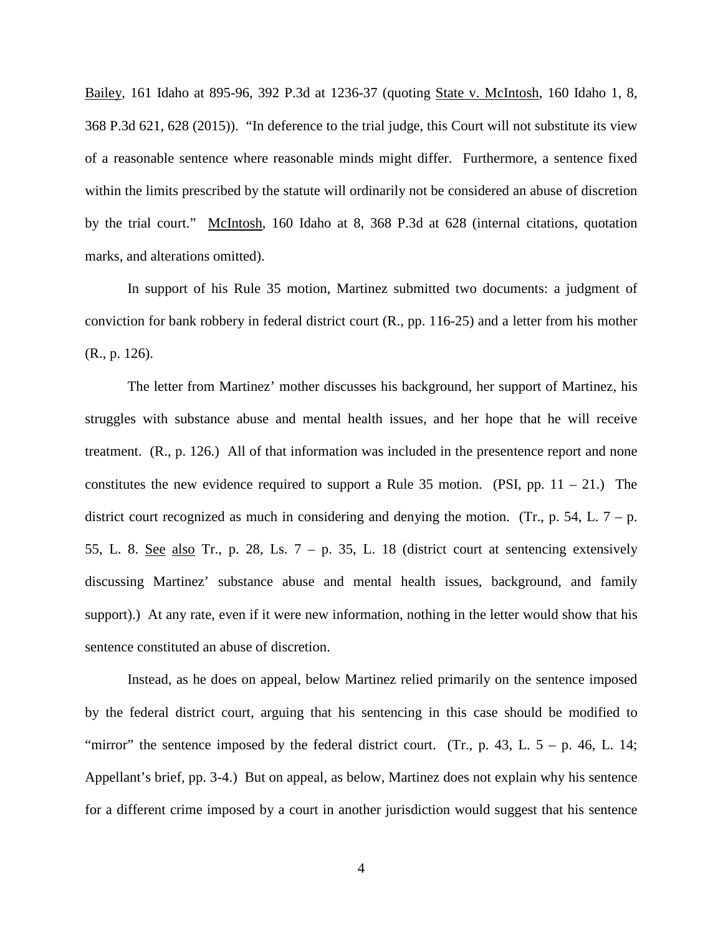Bailey, 161 Idaho at 895-96, 392 P.3d at 1236-37 (quoting State v. McIntosh, 160 Idaho 1, 8, 368 P.3d 621, 628 (2015)). "In deference to the trial judge, this Court will not substitute its view of a reasonable sentence where reasonable minds might differ. Furthermore, a sentence fixed within the limits prescribed by the statute will ordinarily not be considered an abuse of discretion by the trial court." McIntosh, 160 Idaho at 8, 368 P.3d at 628 (internal citations, quotation marks, and alterations omitted).

In support of his Rule 35 motion, Martinez submitted two documents: a judgment of conviction for bank robbery in federal district court (R., pp. 116-25) and a letter from his mother (R., p. 126).

The letter from Martinez' mother discusses his background, her support of Martinez, his struggles with substance abuse and mental health issues, and her hope that he will receive treatment. (R., p. 126.) All of that information was included in the presentence report and none constitutes the new evidence required to support a Rule 35 motion. (PSI, pp.  $11 - 21$ .) The district court recognized as much in considering and denying the motion. (Tr., p. 54, L.  $7 - p$ .) 55, L. 8. See also Tr., p. 28, Ls.  $7 - p$ . 35, L. 18 (district court at sentencing extensively discussing Martinez' substance abuse and mental health issues, background, and family support).) At any rate, even if it were new information, nothing in the letter would show that his sentence constituted an abuse of discretion.

Instead, as he does on appeal, below Martinez relied primarily on the sentence imposed by the federal district court, arguing that his sentencing in this case should be modified to "mirror" the sentence imposed by the federal district court. (Tr., p. 43, L.  $5 - p$ . 46, L. 14; Appellant's brief, pp. 3-4.) But on appeal, as below, Martinez does not explain why his sentence for a different crime imposed by a court in another jurisdiction would suggest that his sentence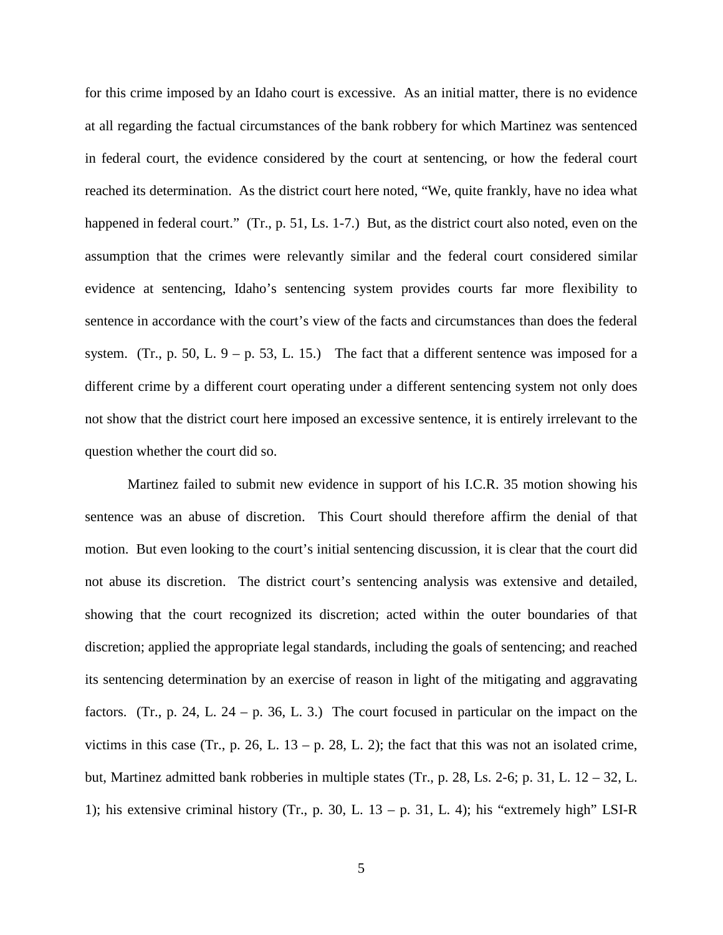for this crime imposed by an Idaho court is excessive. As an initial matter, there is no evidence at all regarding the factual circumstances of the bank robbery for which Martinez was sentenced in federal court, the evidence considered by the court at sentencing, or how the federal court reached its determination. As the district court here noted, "We, quite frankly, have no idea what happened in federal court." (Tr., p. 51, Ls. 1-7.) But, as the district court also noted, even on the assumption that the crimes were relevantly similar and the federal court considered similar evidence at sentencing, Idaho's sentencing system provides courts far more flexibility to sentence in accordance with the court's view of the facts and circumstances than does the federal system. (Tr., p. 50, L.  $9 - p. 53$ , L. 15.) The fact that a different sentence was imposed for a different crime by a different court operating under a different sentencing system not only does not show that the district court here imposed an excessive sentence, it is entirely irrelevant to the question whether the court did so.

Martinez failed to submit new evidence in support of his I.C.R. 35 motion showing his sentence was an abuse of discretion. This Court should therefore affirm the denial of that motion. But even looking to the court's initial sentencing discussion, it is clear that the court did not abuse its discretion. The district court's sentencing analysis was extensive and detailed, showing that the court recognized its discretion; acted within the outer boundaries of that discretion; applied the appropriate legal standards, including the goals of sentencing; and reached its sentencing determination by an exercise of reason in light of the mitigating and aggravating factors. (Tr., p. 24, L. 24 – p. 36, L. 3.) The court focused in particular on the impact on the victims in this case (Tr., p. 26, L.  $13 - p$ . 28, L. 2); the fact that this was not an isolated crime, but, Martinez admitted bank robberies in multiple states (Tr., p. 28, Ls. 2-6; p. 31, L.  $12 - 32$ , L. 1); his extensive criminal history (Tr., p. 30, L.  $13 - p$ , 31, L. 4); his "extremely high" LSI-R